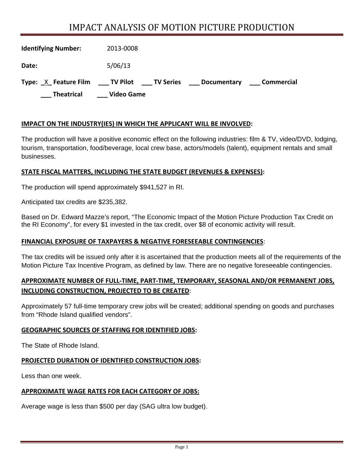# IMPACT ANALYSIS OF MOTION PICTURE PRODUCTION

| <b>Theatrical</b>                                 | <b>Video Game</b> |                    |            |
|---------------------------------------------------|-------------------|--------------------|------------|
| Type: X Feature Film ____ TV Pilot ____ TV Series |                   | <b>Documentary</b> | Commercial |
| Date:                                             | 5/06/13           |                    |            |
| <b>Identifying Number:</b>                        | 2013-0008         |                    |            |

#### **IMPACT ON THE INDUSTRY(IES) IN WHICH THE APPLICANT WILL BE INVOLVED:**

The production will have a positive economic effect on the following industries: film & TV, video/DVD, lodging, tourism, transportation, food/beverage, local crew base, actors/models (talent), equipment rentals and small businesses.

#### **STATE FISCAL MATTERS, INCLUDING THE STATE BUDGET (REVENUES & EXPENSES):**

The production will spend approximately \$941,527 in RI.

Anticipated tax credits are \$235,382.

Based on Dr. Edward Mazze's report, "The Economic Impact of the Motion Picture Production Tax Credit on the RI Economy", for every \$1 invested in the tax credit, over \$8 of economic activity will result.

#### **FINANCIAL EXPOSURE OF TAXPAYERS & NEGATIVE FORESEEABLE CONTINGENCIES**:

The tax credits will be issued only after it is ascertained that the production meets all of the requirements of the Motion Picture Tax Incentive Program, as defined by law. There are no negative foreseeable contingencies.

### **APPROXIMATE NUMBER OF FULL‐TIME, PART‐TIME, TEMPORARY, SEASONAL AND/OR PERMANENT JOBS, INCLUDING CONSTRUCTION, PROJECTED TO BE CREATED**:

Approximately 57 full-time temporary crew jobs will be created; additional spending on goods and purchases from "Rhode Island qualified vendors".

#### **GEOGRAPHIC SOURCES OF STAFFING FOR IDENTIFIED JOBS:**

The State of Rhode Island.

#### **PROJECTED DURATION OF IDENTIFIED CONSTRUCTION JOBS:**

Less than one week.

#### **APPROXIMATE WAGE RATES FOR EACH CATEGORY OF JOBS:**

Average wage is less than \$500 per day (SAG ultra low budget).